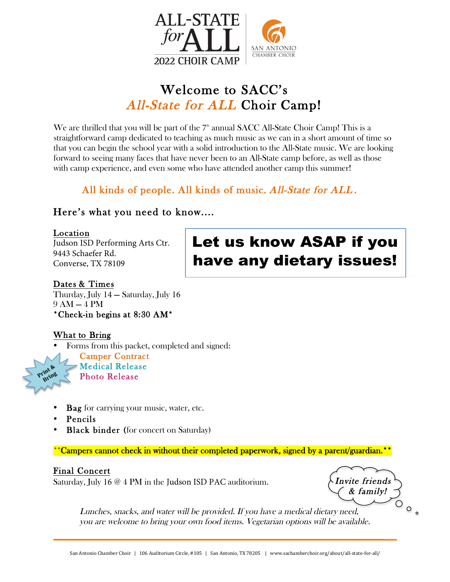

## Welcome to SACC's All-State for ALL Choir Camp!

We are thrilled that you will be part of the  $7^{\scriptscriptstyle\rm th}$  annual SACC All-State Choir Camp! This is a straightforward camp dedicated to teaching as much music as we can in a short amount of time so that you can begin the school year with a solid introduction to the All-State music. We are looking forward to seeing many faces that have never been to an All-State camp before, as well as those with camp experience, and even some who have attended another camp this summer!

## All kinds of people. All kinds of music. All-State for ALL .

### Here's what you need to know....

#### Location

Judson ISD Performing Arts Ctr. 9443 Schaefer Rd. Converse, TX 78109

# Let us know ASAP if you have any dietary issues!

### Dates & Times

Thurday, July 14 — Saturday, July 16 9 AM — 4 PM \*Check-in begins at 8:30 AM\*

### What to Bring

• Forms from this packet, completed and signed:

Camper Contract Medical Release Photo Release

- Bag for carrying your music, water, etc.
- Pencils

Print & **Bring**

**Black binder** (for concert on Saturday)

\*\*Campers cannot check in without their completed paperwork, signed by a parent/guardian.\*

### Final Concert

Saturday, July 16  $\omega$  4 PM in the Judson ISD PAC auditorium.  $\Delta$  Invite friends

& family!  $\circ$ .

Lunches, snacks, and water will be provided. If you have a medical dietary need, you are welcome to bring your own food items. Vegetarian options will be available.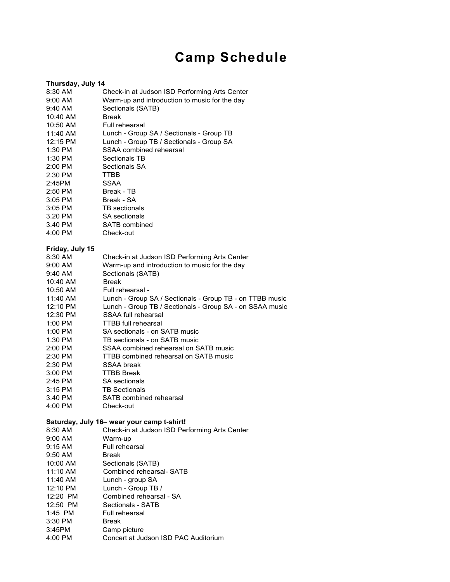# **Camp Schedule**

#### **Thursday, July 14**

| 8:30 AM                                    | Check-in at Judson ISD Performing Arts Center            |  |  |
|--------------------------------------------|----------------------------------------------------------|--|--|
| $9:00$ AM                                  | Warm-up and introduction to music for the day            |  |  |
| 9:40 AM                                    | Sectionals (SATB)                                        |  |  |
| 10:40 AM                                   | <b>Break</b>                                             |  |  |
| 10:50 AM                                   | Full rehearsal                                           |  |  |
| 11:40 AM                                   | Lunch - Group SA / Sectionals - Group TB                 |  |  |
| 12:15 PM                                   | Lunch - Group TB / Sectionals - Group SA                 |  |  |
| 1:30 PM                                    | SSAA combined rehearsal                                  |  |  |
| 1:30 PM                                    | Sectionals TB                                            |  |  |
|                                            | Sectionals SA                                            |  |  |
| 2:00 PM                                    |                                                          |  |  |
| 2.30 PM                                    | TTBB                                                     |  |  |
| 2:45PM                                     | <b>SSAA</b>                                              |  |  |
| 2:50 PM                                    | Break - TB                                               |  |  |
| 3:05 PM                                    | Break - SA                                               |  |  |
| 3:05 PM                                    | TB sectionals                                            |  |  |
| 3.20 PM                                    | <b>SA</b> sectionals                                     |  |  |
| 3.40 PM                                    | SATB combined                                            |  |  |
| 4:00 PM                                    | Check-out                                                |  |  |
|                                            |                                                          |  |  |
| Friday, July 15                            |                                                          |  |  |
| 8:30 AM                                    | Check-in at Judson ISD Performing Arts Center            |  |  |
| 9:00 AM                                    | Warm-up and introduction to music for the day            |  |  |
| 9:40 AM                                    | Sectionals (SATB)                                        |  |  |
| 10:40 AM                                   | <b>Break</b>                                             |  |  |
| 10:50 AM                                   | Full rehearsal -                                         |  |  |
| 11:40 AM                                   | Lunch - Group SA / Sectionals - Group TB - on TTBB music |  |  |
| 12:10 PM                                   | Lunch - Group TB / Sectionals - Group SA - on SSAA music |  |  |
| 12:30 PM                                   | SSAA full rehearsal                                      |  |  |
| 1:00 PM                                    | <b>TTBB</b> full rehearsal                               |  |  |
| 1:00 PM                                    | SA sectionals - on SATB music                            |  |  |
| 1.30 PM                                    | TB sectionals - on SATB music                            |  |  |
| 2:00 PM                                    | SSAA combined rehearsal on SATB music                    |  |  |
| 2:30 PM                                    | TTBB combined rehearsal on SATB music                    |  |  |
| 2:30 PM                                    | SSAA break                                               |  |  |
| 3:00 PM                                    | <b>TTBB Break</b>                                        |  |  |
| 2:45 PM                                    | <b>SA</b> sectionals                                     |  |  |
| 3:15 PM                                    | <b>TB Sectionals</b>                                     |  |  |
| 3.40 PM                                    | SATB combined rehearsal                                  |  |  |
| 4:00 PM                                    | Check-out                                                |  |  |
|                                            |                                                          |  |  |
| Saturday, July 16- wear your camp t-shirt! |                                                          |  |  |
| 8:30 AM                                    | Check-in at Judson ISD Performing Arts Center            |  |  |
| 9:00 AM                                    | Warm-up                                                  |  |  |
| 9:15 AM                                    | Full rehearsal                                           |  |  |
| 9:50 AM                                    | <b>Break</b>                                             |  |  |
| 10:00 AM                                   | Sectionals (SATB)                                        |  |  |
| 11:10 AM                                   | Combined rehearsal- SATB                                 |  |  |
| 11:40 AM                                   | Lunch - group SA                                         |  |  |
| 12:10 PM                                   | Lunch - Group TB /                                       |  |  |
| 12:20 PM                                   | Combined rehearsal - SA                                  |  |  |
|                                            |                                                          |  |  |
| 12:50 PM                                   | Sectionals - SATB                                        |  |  |
| 1:45 PM                                    | Full rehearsal                                           |  |  |
| 3:30 PM                                    | Break                                                    |  |  |
| 3:45PM                                     | Camp picture                                             |  |  |
| 4:00 PM                                    | Concert at Judson ISD PAC Auditorium                     |  |  |
|                                            |                                                          |  |  |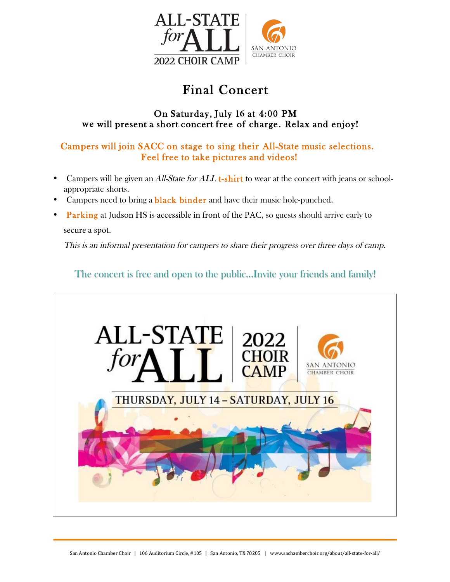

## Final Concert

#### On Saturday, July 1**6** at 4:00 PM **we** will present a short concert free of charge. Relax and enjoy!

### Campers will join SACC on stage to sing their All-State music selections. Feel free to take pictures and videos!

- Campers will be given an *All-State for ALL* t-shirt to wear at the concert with jeans or schoolappropriate shorts.
- Campers need to bring a **black binder** and have their music hole-punched.
- Parking at Judson HS is accessible in front of the PAC, so guests should arrive early to

secure a spot.

This is an informal presentation for campers to share their progress over three days of camp.

### The concert is free and open to the public...Invite your friends and family!

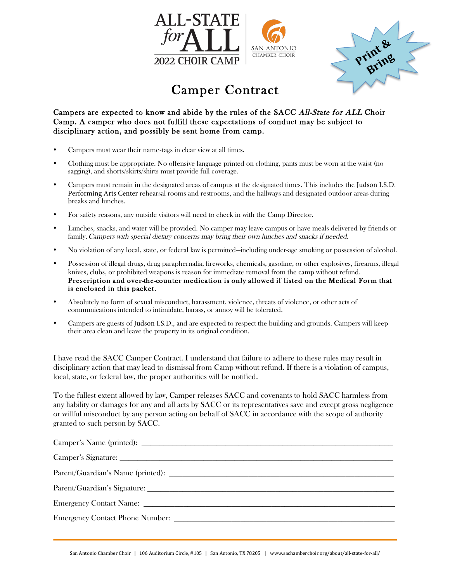



## Camper Contract

#### Campers are expected to know and abide by the rules of the SACC All-State for ALL Choir Camp. A camper who does not fulfill these expectations of conduct may be subject to disciplinary action, and possibly be sent home from camp.

- Campers must wear their name-tags in clear view at all times.
- Clothing must be appropriate. No offensive language printed on clothing, pants must be worn at the waist (no sagging), and shorts/skirts/shirts must provide full coverage.
- Campers must remain in the designated areas of campus at the designated times. This includes the Judson I.S.D. Performing Arts Center rehearsal rooms and restrooms, and the hallways and designated outdoor areas during breaks and lunches.
- For safety reasons, any outside visitors will need to check in with the Camp Director.
- Lunches, snacks, and water will be provided. No camper may leave campus or have meals delivered by friends or family. Campers with special dietary concerns may bring their own lunches and snacks if needed.
- No violation of any local, state, or federal law is permitted—including under-age smoking or possession of alcohol.
- Possession of illegal drugs, drug paraphernalia, fireworks, chemicals, gasoline, or other explosives, firearms, illegal knives, clubs, or prohibited weapons is reason for immediate removal from the camp without refund. Prescription and over-the-counter medication is only allowed if listed on the Medical Form that is enclosed in this packet.
- Absolutely no form of sexual misconduct, harassment, violence, threats of violence, or other acts of communications intended to intimidate, harass, or annoy will be tolerated.
- Campers are guests of Judson I.S.D., and are expected to respect the building and grounds. Campers will keep their area clean and leave the property in its original condition.

I have read the SACC Camper Contract. I understand that failure to adhere to these rules may result in disciplinary action that may lead to dismissal from Camp without refund. If there is a violation of campus, local, state, or federal law, the proper authorities will be notified.

To the fullest extent allowed by law, Camper releases SACC and covenants to hold SACC harmless from any liability or damages for any and all acts by SACC or its representatives save and except gross negligence or willful misconduct by any person acting on behalf of SACC in accordance with the scope of authority granted to such person by SACC.

| Camper's Name (printed):        |
|---------------------------------|
|                                 |
|                                 |
|                                 |
|                                 |
| Emergency Contact Phone Number: |
|                                 |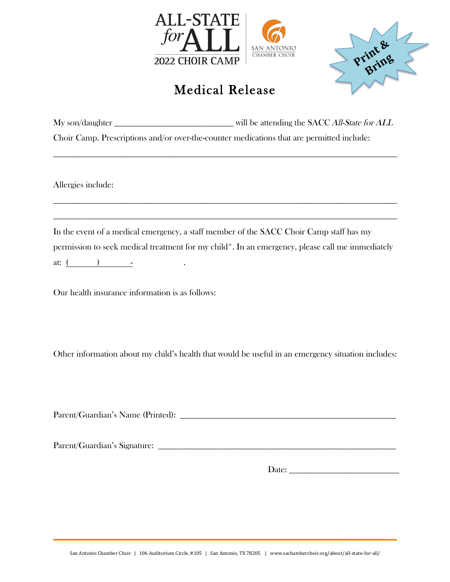



## Medical Release

| My son/daughter                                                                           | will be attending the SACC All-State for ALL |
|-------------------------------------------------------------------------------------------|----------------------------------------------|
| Choir Camp. Prescriptions and/or over-the-counter medications that are permitted include: |                                              |

**\_\_\_\_\_\_\_\_\_\_\_\_\_\_\_\_\_\_\_\_\_\_\_\_\_\_\_\_\_\_\_\_\_\_\_\_\_\_\_\_\_\_\_\_\_\_\_\_\_\_\_\_\_\_\_\_\_\_\_\_\_\_\_\_\_\_\_\_\_\_\_\_\_\_\_\_\_\_**

**\_\_\_\_\_\_\_\_\_\_\_\_\_\_\_\_\_\_\_\_\_\_\_\_\_\_\_\_\_\_\_\_\_\_\_\_\_\_\_\_\_\_\_\_\_\_\_\_\_\_\_\_\_\_\_\_\_\_\_\_\_\_\_\_\_\_\_\_\_\_\_\_\_\_\_\_\_\_**

**\_\_\_\_\_\_\_\_\_\_\_\_\_\_\_\_\_\_\_\_\_\_\_\_\_\_\_\_\_\_\_\_\_\_\_\_\_\_\_\_\_\_\_\_\_\_\_\_\_\_\_\_\_\_\_\_\_\_\_\_\_\_\_\_\_\_\_\_\_\_\_\_\_\_\_\_\_\_**

Allergies include:

In the event of a medical emergency, a staff member of the SACC Choir Camp staff has my permission to seek medical treatment for my child\*. In an emergency, please call me immediately at:  $($  )  $-$ 

Our health insurance information is as follows:

Other information about my child's health that would be useful in an emergency situation includes:

Parent/Guardian's Name (Printed): **\_\_\_\_\_\_\_\_\_\_\_\_\_\_\_\_\_\_\_\_\_\_\_\_\_\_\_\_\_\_\_\_\_\_\_\_\_\_\_\_\_\_\_\_\_\_\_\_\_**

Parent/Guardian's Signature:

Date: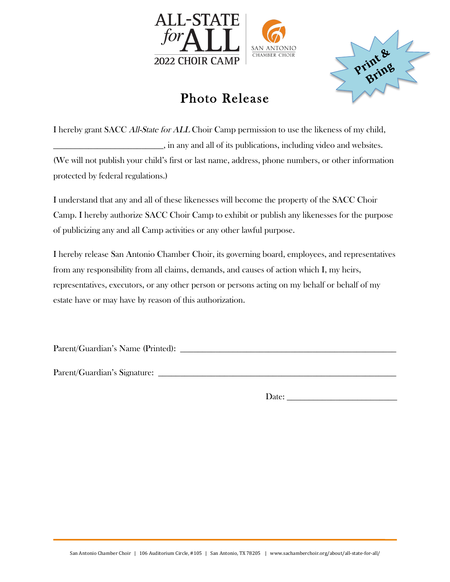



## Photo Release

I hereby grant SACC All-State for ALL Choir Camp permission to use the likeness of my child, **\_\_\_\_\_\_\_\_\_\_\_\_\_\_\_\_\_\_\_\_\_\_\_\_\_**, in any and all of its publications, including video and websites. (We will not publish your child's first or last name, address, phone numbers, or other information protected by federal regulations.)

I understand that any and all of these likenesses will become the property of the SACC Choir Camp. I hereby authorize SACC Choir Camp to exhibit or publish any likenesses for the purpose of publicizing any and all Camp activities or any other lawful purpose.

I hereby release San Antonio Chamber Choir, its governing board, employees, and representatives from any responsibility from all claims, demands, and causes of action which I, my heirs, representatives, executors, or any other person or persons acting on my behalf or behalf of my estate have or may have by reason of this authorization.

Parent/Guardian's Name (Printed): **\_\_\_\_\_\_\_\_\_\_\_\_\_\_\_\_\_\_\_\_\_\_\_\_\_\_\_\_\_\_\_\_\_\_\_\_\_\_\_\_\_\_\_\_\_\_\_\_\_**

Parent/Guardian's Signature:

Date: